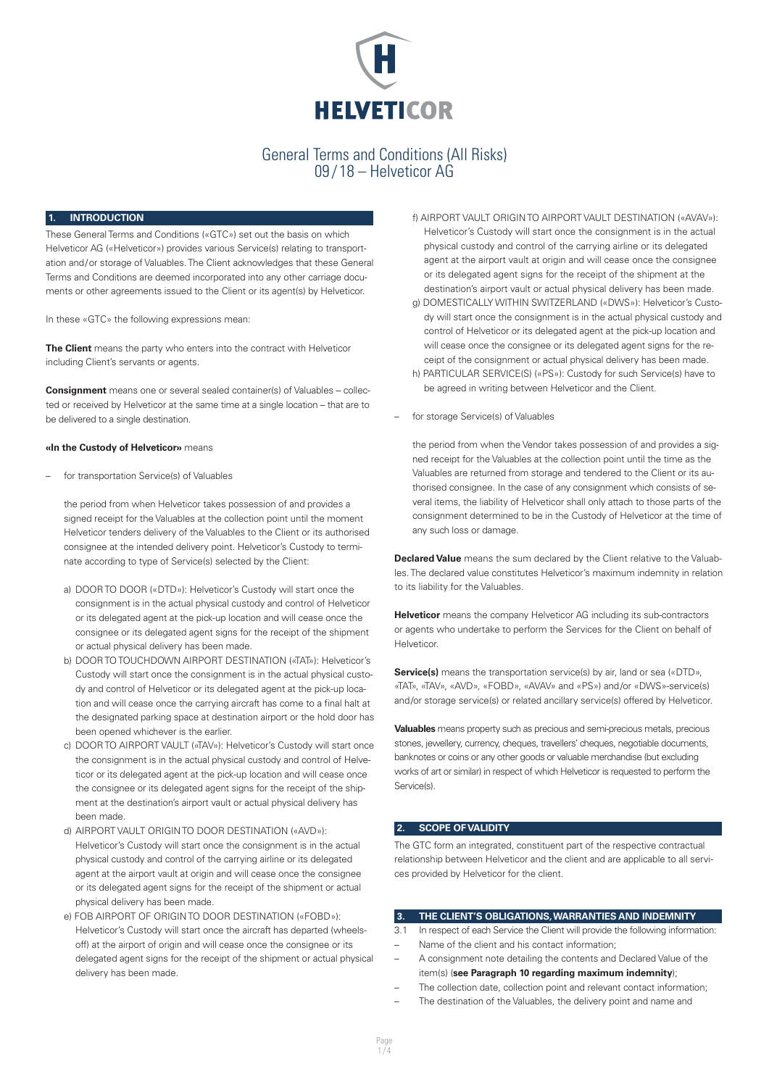

#### **INTRODUCTION**

These General Terms and Conditions («GTC») set out the basis on which Helveticor AG («Helveticor») provides various Service(s) relating to transportation and/or storage of Valuables. The Client acknowledges that these General Terms and Conditions are deemed incorporated into any other carriage documents or other agreements issued to the Client or its agent(s) by Helveticor.

In these «GTC» the following expressions mean:

**The Client** means the party who enters into the contract with Helveticor including Client's servants or agents.

**Consignment** means one or several sealed container(s) of Valuables – collected or received by Helveticor at the same time at a single location – that are to be delivered to a single destination.

#### **«In the Custody of Helveticor»** means

– for transportation Service(s) of Valuables

the period from when Helveticor takes possession of and provides a signed receipt for the Valuables at the collection point until the moment Helveticor tenders delivery of the Valuables to the Client or its authorised consignee at the intended delivery point. Helveticor's Custody to terminate according to type of Service(s) selected by the Client:

- a) DOOR TO DOOR («DTD»): Helveticor's Custody will start once the consignment is in the actual physical custody and control of Helveticor or its delegated agent at the pick-up location and will cease once the consignee or its delegated agent signs for the receipt of the shipment or actual physical delivery has been made.
- b) DOOR TO TOUCHDOWN AIRPORT DESTINATION («TAT»): Helveticor's Custody will start once the consignment is in the actual physical custody and control of Helveticor or its delegated agent at the pick-up location and will cease once the carrying aircraft has come to a final halt at the designated parking space at destination airport or the hold door has been opened whichever is the earlier.
- c) DOOR TO AIRPORT VAULT («TAV»): Helveticor's Custody will start once the consignment is in the actual physical custody and control of Helveticor or its delegated agent at the pick-up location and will cease once the consignee or its delegated agent signs for the receipt of the shipment at the destination's airport vault or actual physical delivery has been made.
- d) AIRPORT VAULT ORIGIN TO DOOR DESTINATION («AVD»): Helveticor's Custody will start once the consignment is in the actual physical custody and control of the carrying airline or its delegated agent at the airport vault at origin and will cease once the consignee or its delegated agent signs for the receipt of the shipment or actual physical delivery has been made.
- e) FOB AIRPORT OF ORIGIN TO DOOR DESTINATION («FOBD»): Helveticor's Custody will start once the aircraft has departed (wheelsoff) at the airport of origin and will cease once the consignee or its delegated agent signs for the receipt of the shipment or actual physical delivery has been made.
- f) AIRPORT VAULT ORIGIN TO AIRPORT VAULT DESTINATION («AVAV»): Helveticor's Custody will start once the consignment is in the actual physical custody and control of the carrying airline or its delegated agent at the airport vault at origin and will cease once the consignee or its delegated agent signs for the receipt of the shipment at the destination's airport vault or actual physical delivery has been made.
- g) DOMESTICALLY WITHIN SWITZERLAND («DWS»): Helveticor's Custody will start once the consignment is in the actual physical custody and control of Helveticor or its delegated agent at the pick-up location and will cease once the consignee or its delegated agent signs for the receipt of the consignment or actual physical delivery has been made.
- h) PARTICULAR SERVICE(S) («PS»): Custody for such Service(s) have to be agreed in writing between Helveticor and the Client.
- for storage Service(s) of Valuables

the period from when the Vendor takes possession of and provides a signed receipt for the Valuables at the collection point until the time as the Valuables are returned from storage and tendered to the Client or its authorised consignee. In the case of any consignment which consists of several items, the liability of Helveticor shall only attach to those parts of the consignment determined to be in the Custody of Helveticor at the time of any such loss or damage.

**Declared Value** means the sum declared by the Client relative to the Valuables. The declared value constitutes Helveticor's maximum indemnity in relation to its liability for the Valuables.

**Helveticor** means the company Helveticor AG including its sub-contractors or agents who undertake to perform the Services for the Client on behalf of Helveticor.

**Service(s)** means the transportation service(s) by air, land or sea («DTD», «TAT», «TAV», «AVD», «FOBD», «AVAV» and «PS») and/or «DWS»-service(s) and/or storage service(s) or related ancillary service(s) offered by Helveticor.

**Valuables** means property such as precious and semi-precious metals, precious stones, jewellery, currency, cheques, travellers' cheques, negotiable documents, banknotes or coins or any other goods or valuable merchandise (but excluding works of art or similar) in respect of which Helveticor is requested to perform the Service(s).

## **2. SCOPE OF VALIDITY**

The GTC form an integrated, constituent part of the respective contractual relationship between Helveticor and the client and are applicable to all services provided by Helveticor for the client.

#### **3. THE CLIENT'S OBLIGATIONS, WARRANTIES AND INDEMNITY**

- 3.1 In respect of each Service the Client will provide the following information: Name of the client and his contact information;
- A consignment note detailing the contents and Declared Value of the item(s) (**see Paragraph 10 regarding maximum indemnity**);
- The collection date, collection point and relevant contact information;
- The destination of the Valuables, the delivery point and name and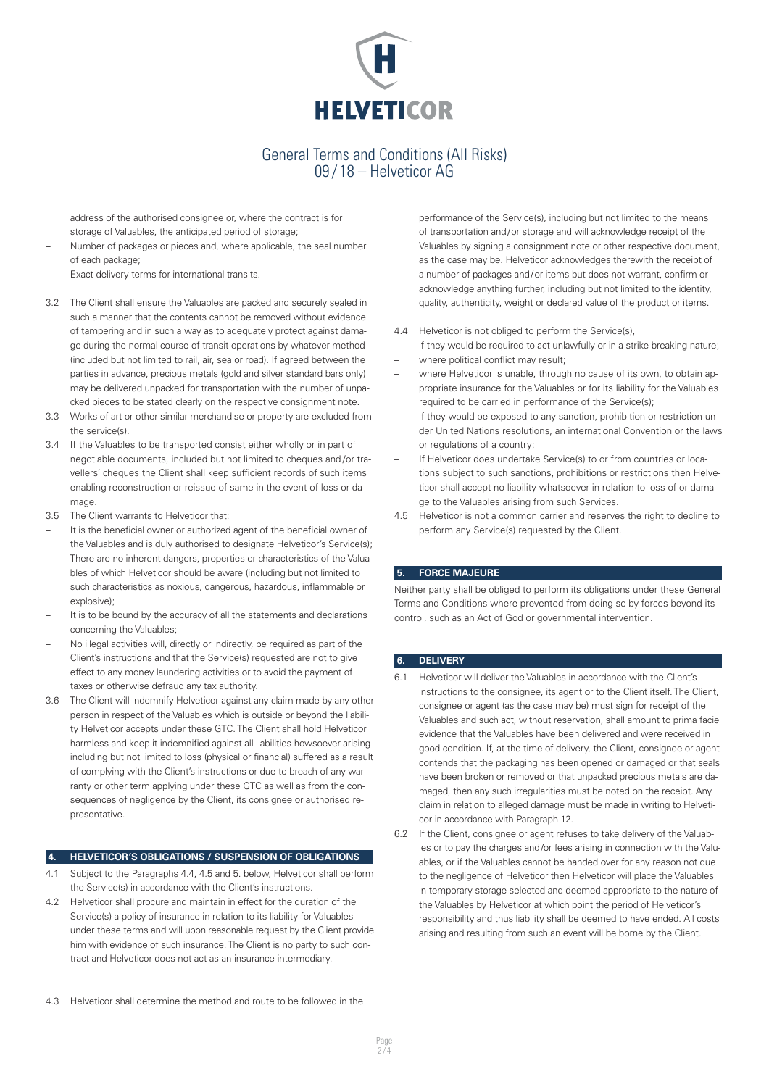

address of the authorised consignee or, where the contract is for storage of Valuables, the anticipated period of storage;

- Number of packages or pieces and, where applicable, the seal number of each package;
- Exact delivery terms for international transits.
- 3.2 The Client shall ensure the Valuables are packed and securely sealed in such a manner that the contents cannot be removed without evidence of tampering and in such a way as to adequately protect against damage during the normal course of transit operations by whatever method (included but not limited to rail, air, sea or road). If agreed between the parties in advance, precious metals (gold and silver standard bars only) may be delivered unpacked for transportation with the number of unpacked pieces to be stated clearly on the respective consignment note.
- 3.3 Works of art or other similar merchandise or property are excluded from the service(s).
- 3.4 If the Valuables to be transported consist either wholly or in part of negotiable documents, included but not limited to cheques and /or travellers' cheques the Client shall keep sufficient records of such items enabling reconstruction or reissue of same in the event of loss or damage.
- 3.5 The Client warrants to Helveticor that:
- It is the beneficial owner or authorized agent of the beneficial owner of the Valuables and is duly authorised to designate Helveticor's Service(s);
- There are no inherent dangers, properties or characteristics of the Valuables of which Helveticor should be aware (including but not limited to such characteristics as noxious, dangerous, hazardous, inflammable or explosive);
- It is to be bound by the accuracy of all the statements and declarations concerning the Valuables;
- No illegal activities will, directly or indirectly, be required as part of the Client's instructions and that the Service(s) requested are not to give effect to any money laundering activities or to avoid the payment of taxes or otherwise defraud any tax authority.
- 3.6 The Client will indemnify Helveticor against any claim made by any other person in respect of the Valuables which is outside or beyond the liability Helveticor accepts under these GTC. The Client shall hold Helveticor harmless and keep it indemnified against all liabilities howsoever arising including but not limited to loss (physical or financial) suffered as a result of complying with the Client's instructions or due to breach of any warranty or other term applying under these GTC as well as from the consequences of negligence by the Client, its consignee or authorised representative.

### **4. HELVETICOR'S OBLIGATIONS / SUSPENSION OF OBLIGATIONS**

- Subject to the Paragraphs 4.4, 4.5 and 5. below, Helveticor shall perform the Service(s) in accordance with the Client's instructions.
- 4.2 Helveticor shall procure and maintain in effect for the duration of the Service(s) a policy of insurance in relation to its liability for Valuables under these terms and will upon reasonable request by the Client provide him with evidence of such insurance. The Client is no party to such contract and Helveticor does not act as an insurance intermediary.

performance of the Service(s), including but not limited to the means of transportation and/or storage and will acknowledge receipt of the Valuables by signing a consignment note or other respective document, as the case may be. Helveticor acknowledges therewith the receipt of a number of packages and/or items but does not warrant, confirm or acknowledge anything further, including but not limited to the identity, quality, authenticity, weight or declared value of the product or items.

- 4.4 Helveticor is not obliged to perform the Service(s),
- if they would be required to act unlawfully or in a strike-breaking nature;
- where political conflict may result;
- where Helveticor is unable, through no cause of its own, to obtain appropriate insurance for the Valuables or for its liability for the Valuables required to be carried in performance of the Service(s);
- if they would be exposed to any sanction, prohibition or restriction under United Nations resolutions, an international Convention or the laws or regulations of a country;
- If Helveticor does undertake Service(s) to or from countries or locations subject to such sanctions, prohibitions or restrictions then Helveticor shall accept no liability whatsoever in relation to loss of or damage to the Valuables arising from such Services.
- 4.5 Helveticor is not a common carrier and reserves the right to decline to perform any Service(s) requested by the Client.

#### **5. FORCE MAJEURE**

Neither party shall be obliged to perform its obligations under these General Terms and Conditions where prevented from doing so by forces beyond its control, such as an Act of God or governmental intervention.

## **6. DELIVERY**

- 6.1 Helveticor will deliver the Valuables in accordance with the Client's instructions to the consignee, its agent or to the Client itself. The Client, consignee or agent (as the case may be) must sign for receipt of the Valuables and such act, without reservation, shall amount to prima facie evidence that the Valuables have been delivered and were received in good condition. If, at the time of delivery, the Client, consignee or agent contends that the packaging has been opened or damaged or that seals have been broken or removed or that unpacked precious metals are damaged, then any such irregularities must be noted on the receipt. Any claim in relation to alleged damage must be made in writing to Helveticor in accordance with Paragraph 12.
- 6.2 If the Client, consignee or agent refuses to take delivery of the Valuables or to pay the charges and/or fees arising in connection with the Valuables, or if the Valuables cannot be handed over for any reason not due to the negligence of Helveticor then Helveticor will place the Valuables in temporary storage selected and deemed appropriate to the nature of the Valuables by Helveticor at which point the period of Helveticor's responsibility and thus liability shall be deemed to have ended. All costs arising and resulting from such an event will be borne by the Client.
- 4.3 Helveticor shall determine the method and route to be followed in the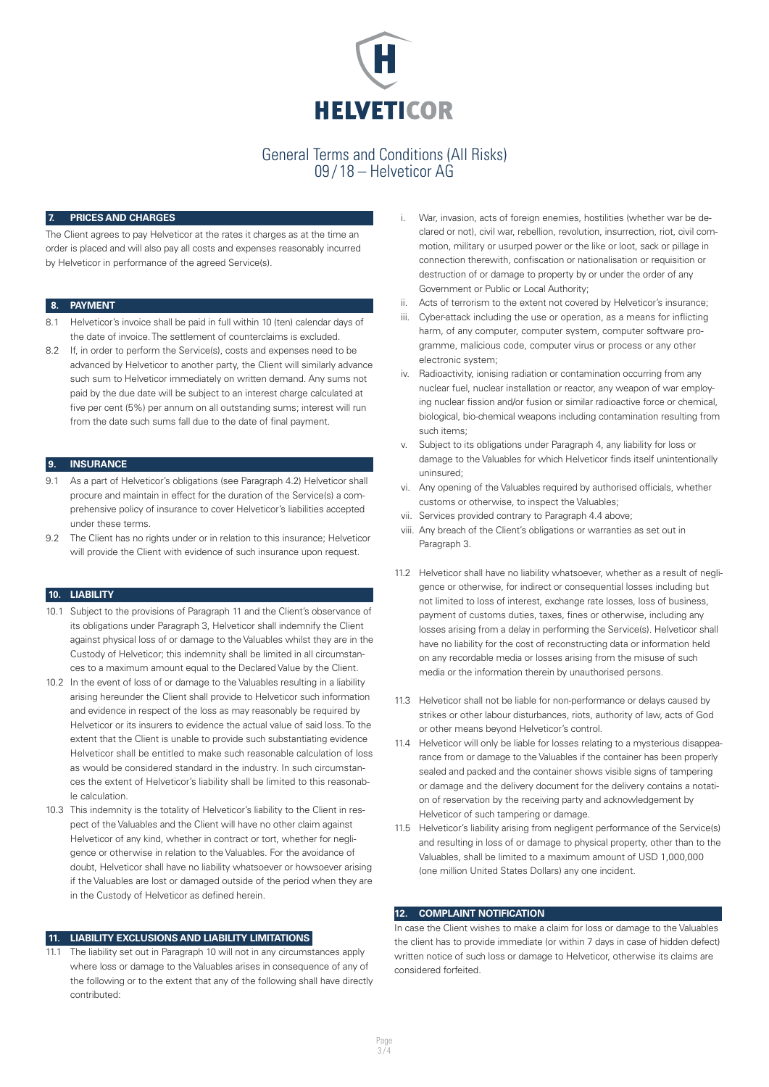

#### **7. PRICES AND CHARGES**

The Client agrees to pay Helveticor at the rates it charges as at the time an order is placed and will also pay all costs and expenses reasonably incurred by Helveticor in performance of the agreed Service(s).

#### **8. PAYMENT**

- 8.1 Helveticor's invoice shall be paid in full within 10 (ten) calendar days of the date of invoice. The settlement of counterclaims is excluded.
- 8.2 If, in order to perform the Service(s), costs and expenses need to be advanced by Helveticor to another party, the Client will similarly advance such sum to Helveticor immediately on written demand. Any sums not paid by the due date will be subject to an interest charge calculated at five per cent (5%) per annum on all outstanding sums; interest will run from the date such sums fall due to the date of final payment.

#### **9. INSURANCE**

- 9.1 As a part of Helveticor's obligations (see Paragraph 4.2) Helveticor shall procure and maintain in effect for the duration of the Service(s) a comprehensive policy of insurance to cover Helveticor's liabilities accepted under these terms.
- 9.2 The Client has no rights under or in relation to this insurance; Helveticor will provide the Client with evidence of such insurance upon request.

#### **10. LIABILITY**

- 10.1 Subject to the provisions of Paragraph 11 and the Client's observance of its obligations under Paragraph 3, Helveticor shall indemnify the Client against physical loss of or damage to the Valuables whilst they are in the Custody of Helveticor; this indemnity shall be limited in all circumstances to a maximum amount equal to the Declared Value by the Client.
- 10.2 In the event of loss of or damage to the Valuables resulting in a liability arising hereunder the Client shall provide to Helveticor such information and evidence in respect of the loss as may reasonably be required by Helveticor or its insurers to evidence the actual value of said loss. To the extent that the Client is unable to provide such substantiating evidence Helveticor shall be entitled to make such reasonable calculation of loss as would be considered standard in the industry. In such circumstances the extent of Helveticor's liability shall be limited to this reasonable calculation.
- 10.3 This indemnity is the totality of Helveticor's liability to the Client in respect of the Valuables and the Client will have no other claim against Helveticor of any kind, whether in contract or tort, whether for negligence or otherwise in relation to the Valuables. For the avoidance of doubt, Helveticor shall have no liability whatsoever or howsoever arising if the Valuables are lost or damaged outside of the period when they are in the Custody of Helveticor as defined herein.

### **11. LIABILITY EXCLUSIONS AND LIABILITY LIMITATIONS**

The liability set out in Paragraph 10 will not in any circumstances apply where loss or damage to the Valuables arises in consequence of any of the following or to the extent that any of the following shall have directly contributed:

- i. War, invasion, acts of foreign enemies, hostilities (whether war be declared or not), civil war, rebellion, revolution, insurrection, riot, civil commotion, military or usurped power or the like or loot, sack or pillage in connection therewith, confiscation or nationalisation or requisition or destruction of or damage to property by or under the order of any Government or Public or Local Authority;
- ii. Acts of terrorism to the extent not covered by Helveticor's insurance;
- iii. Cyber-attack including the use or operation, as a means for inflicting harm, of any computer, computer system, computer software programme, malicious code, computer virus or process or any other electronic system;
- iv. Radioactivity, ionising radiation or contamination occurring from any nuclear fuel, nuclear installation or reactor, any weapon of war employing nuclear fission and/or fusion or similar radioactive force or chemical, biological, bio-chemical weapons including contamination resulting from such items;
- Subject to its obligations under Paragraph 4, any liability for loss or damage to the Valuables for which Helveticor finds itself unintentionally uninsured;
- vi. Any opening of the Valuables required by authorised officials, whether customs or otherwise, to inspect the Valuables;
- vii. Services provided contrary to Paragraph 4.4 above;
- viii. Any breach of the Client's obligations or warranties as set out in Paragraph 3.
- 11.2 Helveticor shall have no liability whatsoever, whether as a result of negligence or otherwise, for indirect or consequential losses including but not limited to loss of interest, exchange rate losses, loss of business, payment of customs duties, taxes, fines or otherwise, including any losses arising from a delay in performing the Service(s). Helveticor shall have no liability for the cost of reconstructing data or information held on any recordable media or losses arising from the misuse of such media or the information therein by unauthorised persons.
- 11.3 Helveticor shall not be liable for non-performance or delays caused by strikes or other labour disturbances, riots, authority of law, acts of God or other means beyond Helveticor's control.
- 11.4 Helveticor will only be liable for losses relating to a mysterious disappearance from or damage to the Valuables if the container has been properly sealed and packed and the container shows visible signs of tampering or damage and the delivery document for the delivery contains a notation of reservation by the receiving party and acknowledgement by Helveticor of such tampering or damage.
- 11.5 Helveticor's liability arising from negligent performance of the Service(s) and resulting in loss of or damage to physical property, other than to the Valuables, shall be limited to a maximum amount of USD 1,000,000 (one million United States Dollars) any one incident.

#### **12. COMPLAINT NOTIFICATION**

In case the Client wishes to make a claim for loss or damage to the Valuables the client has to provide immediate (or within 7 days in case of hidden defect) written notice of such loss or damage to Helveticor, otherwise its claims are considered forfeited.